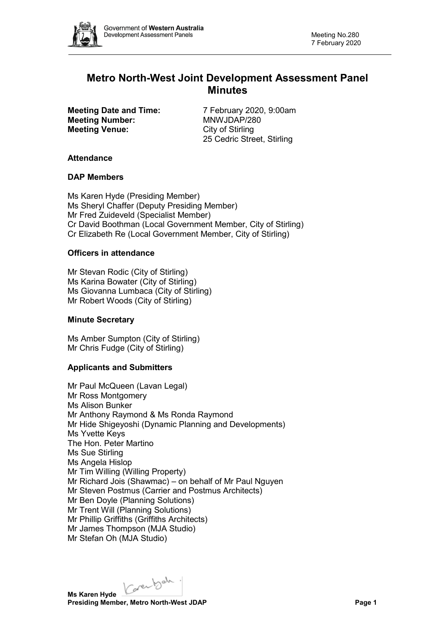

# **Metro North-West Joint Development Assessment Panel Minutes**

**Meeting Number: Meeting Venue:** City of Stirling

**Meeting Date and Time:** 7 February 2020, 9:00am<br> **Meeting Number:** MNWJDAP/280 25 Cedric Street, Stirling

## **Attendance**

## **DAP Members**

Ms Karen Hyde (Presiding Member) Ms Sheryl Chaffer (Deputy Presiding Member) Mr Fred Zuideveld (Specialist Member) Cr David Boothman (Local Government Member, City of Stirling) Cr Elizabeth Re (Local Government Member, City of Stirling)

## **Officers in attendance**

Mr Stevan Rodic (City of Stirling) Ms Karina Bowater (City of Stirling) Ms Giovanna Lumbaca (City of Stirling) Mr Robert Woods (City of Stirling)

#### **Minute Secretary**

Ms Amber Sumpton (City of Stirling) Mr Chris Fudge (City of Stirling)

## **Applicants and Submitters**

Mr Paul McQueen (Lavan Legal) Mr Ross Montgomery Ms Alison Bunker Mr Anthony Raymond & Ms Ronda Raymond Mr Hide Shigeyoshi (Dynamic Planning and Developments) Ms Yvette Keys The Hon. Peter Martino Ms Sue Stirling Ms Angela Hislop Mr Tim Willing (Willing Property) Mr Richard Jois (Shawmac) – on behalf of Mr Paul Nguyen Mr Steven Postmus (Carrier and Postmus Architects) Mr Ben Doyle (Planning Solutions) Mr Trent Will (Planning Solutions) Mr Phillip Griffiths (Griffiths Architects) Mr James Thompson (MJA Studio) Mr Stefan Oh (MJA Studio)

Karenbah.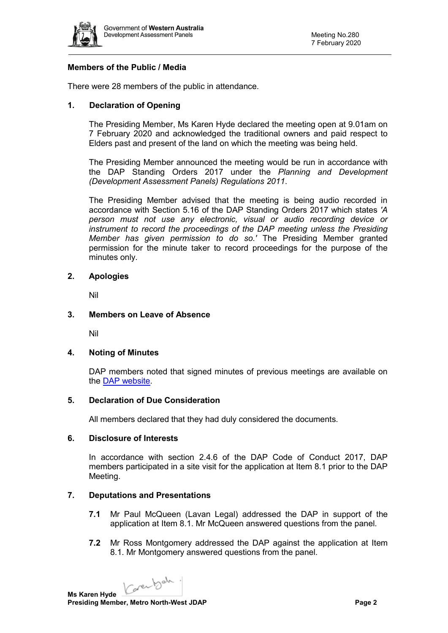

## **Members of the Public / Media**

There were 28 members of the public in attendance.

## **1. Declaration of Opening**

The Presiding Member, Ms Karen Hyde declared the meeting open at 9.01am on 7 February 2020 and acknowledged the traditional owners and paid respect to Elders past and present of the land on which the meeting was being held.

The Presiding Member announced the meeting would be run in accordance with the DAP Standing Orders 2017 under the *Planning and Development (Development Assessment Panels) Regulations 2011*.

The Presiding Member advised that the meeting is being audio recorded in accordance with Section 5.16 of the DAP Standing Orders 2017 which states *'A person must not use any electronic, visual or audio recording device or instrument to record the proceedings of the DAP meeting unless the Presiding Member has given permission to do so.'* The Presiding Member granted permission for the minute taker to record proceedings for the purpose of the minutes only.

## **2. Apologies**

Nil

## **3. Members on Leave of Absence**

Nil

#### **4. Noting of Minutes**

DAP members noted that signed minutes of previous meetings are available on the [DAP website.](https://www.dplh.wa.gov.au/about/development-assessment-panels/daps-agendas-and-minutes)

#### **5. Declaration of Due Consideration**

All members declared that they had duly considered the documents.

#### **6. Disclosure of Interests**

In accordance with section 2.4.6 of the DAP Code of Conduct 2017, DAP members participated in a site visit for the application at Item 8.1 prior to the DAP Meeting.

## **7. Deputations and Presentations**

- **7.1** Mr Paul McQueen (Lavan Legal) addressed the DAP in support of the application at Item 8.1. Mr McQueen answered questions from the panel.
- **7.2** Mr Ross Montgomery addressed the DAP against the application at Item 8.1. Mr Montgomery answered questions from the panel.

Karenbah.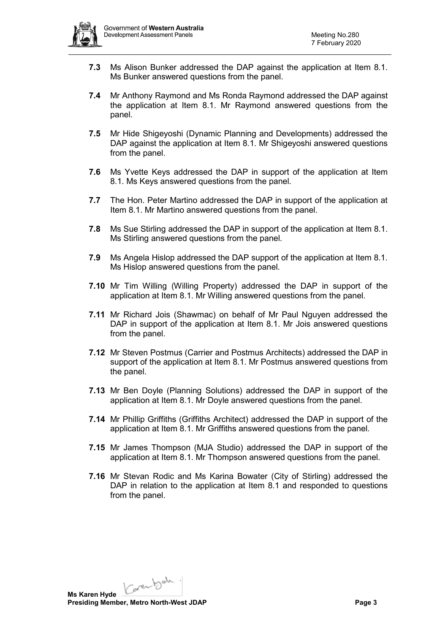

- **7.3** Ms Alison Bunker addressed the DAP against the application at Item 8.1. Ms Bunker answered questions from the panel.
- **7.4** Mr Anthony Raymond and Ms Ronda Raymond addressed the DAP against the application at Item 8.1. Mr Raymond answered questions from the panel.
- **7.5** Mr Hide Shigeyoshi (Dynamic Planning and Developments) addressed the DAP against the application at Item 8.1. Mr Shigeyoshi answered questions from the panel.
- **7.6** Ms Yvette Keys addressed the DAP in support of the application at Item 8.1. Ms Keys answered questions from the panel.
- **7.7** The Hon. Peter Martino addressed the DAP in support of the application at Item 8.1. Mr Martino answered questions from the panel.
- **7.8** Ms Sue Stirling addressed the DAP in support of the application at Item 8.1. Ms Stirling answered questions from the panel.
- **7.9** Ms Angela Hislop addressed the DAP support of the application at Item 8.1. Ms Hislop answered questions from the panel.
- **7.10** Mr Tim Willing (Willing Property) addressed the DAP in support of the application at Item 8.1. Mr Willing answered questions from the panel.
- **7.11** Mr Richard Jois (Shawmac) on behalf of Mr Paul Nguyen addressed the DAP in support of the application at Item 8.1. Mr Jois answered questions from the panel.
- **7.12** Mr Steven Postmus (Carrier and Postmus Architects) addressed the DAP in support of the application at Item 8.1. Mr Postmus answered questions from the panel.
- **7.13** Mr Ben Doyle (Planning Solutions) addressed the DAP in support of the application at Item 8.1. Mr Doyle answered questions from the panel.
- **7.14** Mr Phillip Griffiths (Griffiths Architect) addressed the DAP in support of the application at Item 8.1. Mr Griffiths answered questions from the panel.
- **7.15** Mr James Thompson (MJA Studio) addressed the DAP in support of the application at Item 8.1. Mr Thompson answered questions from the panel.
- **7.16** Mr Stevan Rodic and Ms Karina Bowater (City of Stirling) addressed the DAP in relation to the application at Item 8.1 and responded to questions from the panel.

Karenbah. **Ms Karen Hyde**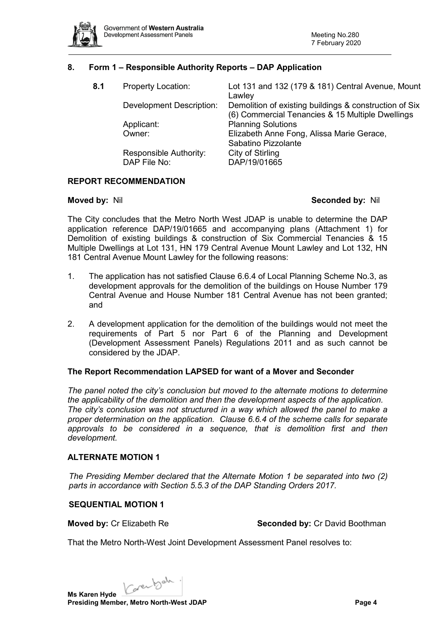

## **8. Form 1 – Responsible Authority Reports – DAP Application**

| 8.1 | <b>Property Location:</b>              | Lot 131 and 132 (179 & 181) Central Avenue, Mount<br>Lawley                                                |
|-----|----------------------------------------|------------------------------------------------------------------------------------------------------------|
|     | <b>Development Description:</b>        | Demolition of existing buildings & construction of Six<br>(6) Commercial Tenancies & 15 Multiple Dwellings |
|     | Applicant:                             | <b>Planning Solutions</b>                                                                                  |
|     | Owner:                                 | Elizabeth Anne Fong, Alissa Marie Gerace,<br>Sabatino Pizzolante                                           |
|     | Responsible Authority:<br>DAP File No: | City of Stirling<br>DAP/19/01665                                                                           |
|     |                                        |                                                                                                            |

## **REPORT RECOMMENDATION**

#### **Moved by:** Nil **Seconded by:** Nil

The City concludes that the Metro North West JDAP is unable to determine the DAP application reference DAP/19/01665 and accompanying plans (Attachment 1) for Demolition of existing buildings & construction of Six Commercial Tenancies & 15 Multiple Dwellings at Lot 131, HN 179 Central Avenue Mount Lawley and Lot 132, HN 181 Central Avenue Mount Lawley for the following reasons:

- 1. The application has not satisfied Clause 6.6.4 of Local Planning Scheme No.3, as development approvals for the demolition of the buildings on House Number 179 Central Avenue and House Number 181 Central Avenue has not been granted; and
- 2. A development application for the demolition of the buildings would not meet the requirements of Part 5 nor Part 6 of the Planning and Development (Development Assessment Panels) Regulations 2011 and as such cannot be considered by the JDAP.

#### **The Report Recommendation LAPSED for want of a Mover and Seconder**

*The panel noted the city's conclusion but moved to the alternate motions to determine the applicability of the demolition and then the development aspects of the application. The city's conclusion was not structured in a way which allowed the panel to make a proper determination on the application. Clause 6.6.4 of the scheme calls for separate approvals to be considered in a sequence, that is demolition first and then development.*

#### **ALTERNATE MOTION 1**

*The Presiding Member declared that the Alternate Motion 1 be separated into two (2) parts in accordance with Section 5.5.3 of the DAP Standing Orders 2017.*

#### **SEQUENTIAL MOTION 1**

**Moved by:** Cr Elizabeth Re **Seconded by:** Cr David Boothman

That the Metro North-West Joint Development Assessment Panel resolves to:

Karenbah. **Ms Karen Hyde**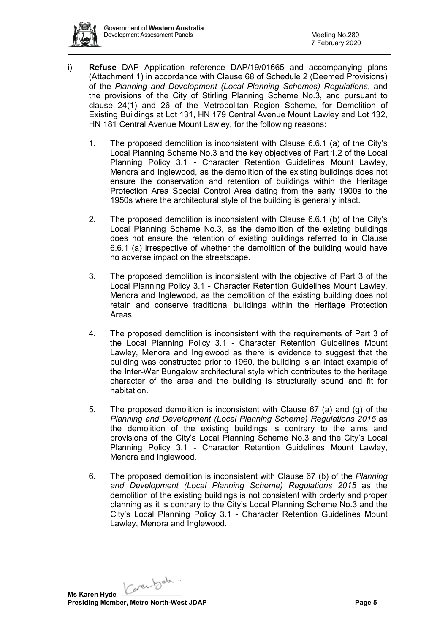- i) **Refuse** DAP Application reference DAP/19/01665 and accompanying plans (Attachment 1) in accordance with Clause 68 of Schedule 2 (Deemed Provisions) of the *Planning and Development (Local Planning Schemes) Regulations*, and the provisions of the City of Stirling Planning Scheme No.3, and pursuant to clause 24(1) and 26 of the Metropolitan Region Scheme, for Demolition of Existing Buildings at Lot 131, HN 179 Central Avenue Mount Lawley and Lot 132, HN 181 Central Avenue Mount Lawley, for the following reasons:
	- 1. The proposed demolition is inconsistent with Clause 6.6.1 (a) of the City's Local Planning Scheme No.3 and the key objectives of Part 1.2 of the Local Planning Policy 3.1 - Character Retention Guidelines Mount Lawley, Menora and Inglewood, as the demolition of the existing buildings does not ensure the conservation and retention of buildings within the Heritage Protection Area Special Control Area dating from the early 1900s to the 1950s where the architectural style of the building is generally intact.
	- 2. The proposed demolition is inconsistent with Clause 6.6.1 (b) of the City's Local Planning Scheme No.3, as the demolition of the existing buildings does not ensure the retention of existing buildings referred to in Clause 6.6.1 (a) irrespective of whether the demolition of the building would have no adverse impact on the streetscape.
	- 3. The proposed demolition is inconsistent with the objective of Part 3 of the Local Planning Policy 3.1 - Character Retention Guidelines Mount Lawley, Menora and Inglewood, as the demolition of the existing building does not retain and conserve traditional buildings within the Heritage Protection Areas.
	- 4. The proposed demolition is inconsistent with the requirements of Part 3 of the Local Planning Policy 3.1 - Character Retention Guidelines Mount Lawley, Menora and Inglewood as there is evidence to suggest that the building was constructed prior to 1960, the building is an intact example of the Inter-War Bungalow architectural style which contributes to the heritage character of the area and the building is structurally sound and fit for habitation.
	- 5. The proposed demolition is inconsistent with Clause 67 (a) and (g) of the *Planning and Development (Local Planning Scheme) Regulations 2015* as the demolition of the existing buildings is contrary to the aims and provisions of the City's Local Planning Scheme No.3 and the City's Local Planning Policy 3.1 - Character Retention Guidelines Mount Lawley, Menora and Inglewood.
	- 6. The proposed demolition is inconsistent with Clause 67 (b) of the *Planning and Development (Local Planning Scheme) Regulations 2015* as the demolition of the existing buildings is not consistent with orderly and proper planning as it is contrary to the City's Local Planning Scheme No.3 and the City's Local Planning Policy 3.1 - Character Retention Guidelines Mount Lawley, Menora and Inglewood.

Carentach.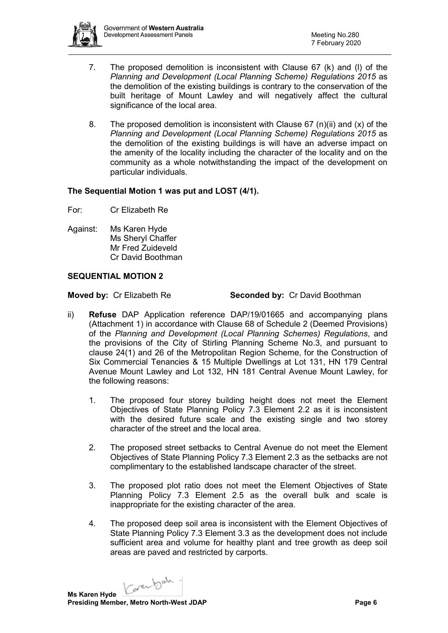

- 7. The proposed demolition is inconsistent with Clause 67 (k) and (l) of the *Planning and Development (Local Planning Scheme) Regulations 2015* as the demolition of the existing buildings is contrary to the conservation of the built heritage of Mount Lawley and will negatively affect the cultural significance of the local area.
- 8. The proposed demolition is inconsistent with Clause  $67 \text{ (n)}$ (ii) and (x) of the *Planning and Development (Local Planning Scheme) Regulations 2015* as the demolition of the existing buildings is will have an adverse impact on the amenity of the locality including the character of the locality and on the community as a whole notwithstanding the impact of the development on particular individuals.

## **The Sequential Motion 1 was put and LOST (4/1).**

- For: Cr Elizabeth Re
- Against: Ms Karen Hyde Ms Sheryl Chaffer Mr Fred Zuideveld Cr David Boothman

## **SEQUENTIAL MOTION 2**

**Moved by:** Cr Elizabeth Re **Seconded by:** Cr David Boothman

- ii) **Refuse** DAP Application reference DAP/19/01665 and accompanying plans (Attachment 1) in accordance with Clause 68 of Schedule 2 (Deemed Provisions) of the *Planning and Development (Local Planning Schemes) Regulations*, and the provisions of the City of Stirling Planning Scheme No.3, and pursuant to clause 24(1) and 26 of the Metropolitan Region Scheme, for the Construction of Six Commercial Tenancies & 15 Multiple Dwellings at Lot 131, HN 179 Central Avenue Mount Lawley and Lot 132, HN 181 Central Avenue Mount Lawley, for the following reasons:
	- 1. The proposed four storey building height does not meet the Element Objectives of State Planning Policy 7.3 Element 2.2 as it is inconsistent with the desired future scale and the existing single and two storey character of the street and the local area.
	- 2. The proposed street setbacks to Central Avenue do not meet the Element Objectives of State Planning Policy 7.3 Element 2.3 as the setbacks are not complimentary to the established landscape character of the street.
	- 3. The proposed plot ratio does not meet the Element Objectives of State Planning Policy 7.3 Element 2.5 as the overall bulk and scale is inappropriate for the existing character of the area.
	- 4. The proposed deep soil area is inconsistent with the Element Objectives of State Planning Policy 7.3 Element 3.3 as the development does not include sufficient area and volume for healthy plant and tree growth as deep soil areas are paved and restricted by carports.

Karenbah.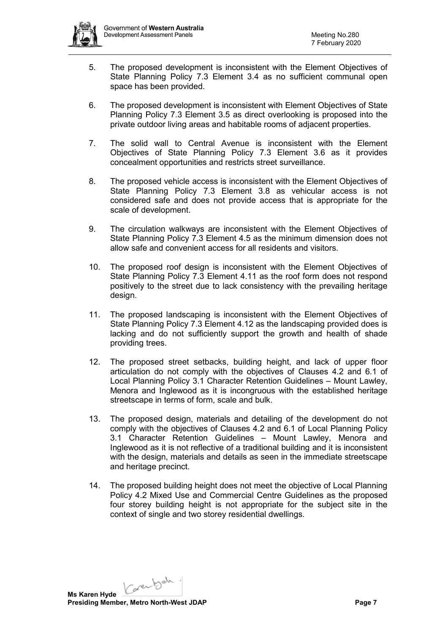

- 5. The proposed development is inconsistent with the Element Objectives of State Planning Policy 7.3 Element 3.4 as no sufficient communal open space has been provided.
- 6. The proposed development is inconsistent with Element Objectives of State Planning Policy 7.3 Element 3.5 as direct overlooking is proposed into the private outdoor living areas and habitable rooms of adjacent properties.
- 7. The solid wall to Central Avenue is inconsistent with the Element Objectives of State Planning Policy 7.3 Element 3.6 as it provides concealment opportunities and restricts street surveillance.
- 8. The proposed vehicle access is inconsistent with the Element Objectives of State Planning Policy 7.3 Element 3.8 as vehicular access is not considered safe and does not provide access that is appropriate for the scale of development.
- 9. The circulation walkways are inconsistent with the Element Objectives of State Planning Policy 7.3 Element 4.5 as the minimum dimension does not allow safe and convenient access for all residents and visitors.
- 10. The proposed roof design is inconsistent with the Element Objectives of State Planning Policy 7.3 Element 4.11 as the roof form does not respond positively to the street due to lack consistency with the prevailing heritage design.
- 11. The proposed landscaping is inconsistent with the Element Objectives of State Planning Policy 7.3 Element 4.12 as the landscaping provided does is lacking and do not sufficiently support the growth and health of shade providing trees.
- 12. The proposed street setbacks, building height, and lack of upper floor articulation do not comply with the objectives of Clauses 4.2 and 6.1 of Local Planning Policy 3.1 Character Retention Guidelines – Mount Lawley, Menora and Inglewood as it is incongruous with the established heritage streetscape in terms of form, scale and bulk.
- 13. The proposed design, materials and detailing of the development do not comply with the objectives of Clauses 4.2 and 6.1 of Local Planning Policy 3.1 Character Retention Guidelines – Mount Lawley, Menora and Inglewood as it is not reflective of a traditional building and it is inconsistent with the design, materials and details as seen in the immediate streetscape and heritage precinct.
- 14. The proposed building height does not meet the objective of Local Planning Policy 4.2 Mixed Use and Commercial Centre Guidelines as the proposed four storey building height is not appropriate for the subject site in the context of single and two storey residential dwellings.

Karenbah.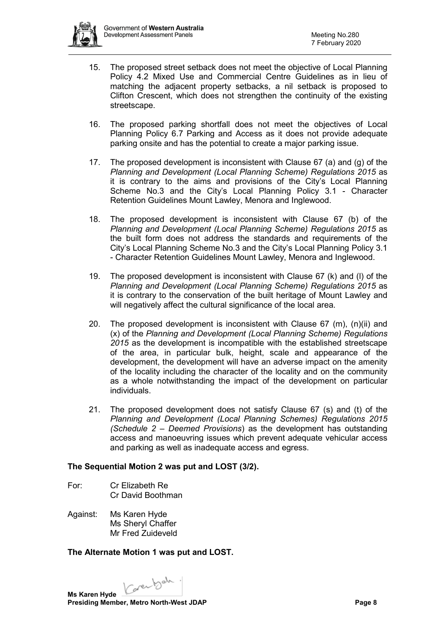

- 15. The proposed street setback does not meet the objective of Local Planning Policy 4.2 Mixed Use and Commercial Centre Guidelines as in lieu of matching the adjacent property setbacks, a nil setback is proposed to Clifton Crescent, which does not strengthen the continuity of the existing streetscape.
- 16. The proposed parking shortfall does not meet the objectives of Local Planning Policy 6.7 Parking and Access as it does not provide adequate parking onsite and has the potential to create a major parking issue.
- 17. The proposed development is inconsistent with Clause 67 (a) and (g) of the *Planning and Development (Local Planning Scheme) Regulations 2015* as it is contrary to the aims and provisions of the City's Local Planning Scheme No.3 and the City's Local Planning Policy 3.1 - Character Retention Guidelines Mount Lawley, Menora and Inglewood.
- 18. The proposed development is inconsistent with Clause 67 (b) of the *Planning and Development (Local Planning Scheme) Regulations 2015* as the built form does not address the standards and requirements of the City's Local Planning Scheme No.3 and the City's Local Planning Policy 3.1 - Character Retention Guidelines Mount Lawley, Menora and Inglewood.
- 19. The proposed development is inconsistent with Clause 67 (k) and (l) of the *Planning and Development (Local Planning Scheme) Regulations 2015* as it is contrary to the conservation of the built heritage of Mount Lawley and will negatively affect the cultural significance of the local area.
- 20. The proposed development is inconsistent with Clause 67 (m), (n)(ii) and (x) of the *Planning and Development (Local Planning Scheme) Regulations 2015* as the development is incompatible with the established streetscape of the area, in particular bulk, height, scale and appearance of the development, the development will have an adverse impact on the amenity of the locality including the character of the locality and on the community as a whole notwithstanding the impact of the development on particular individuals.
- 21. The proposed development does not satisfy Clause 67 (s) and (t) of the *Planning and Development (Local Planning Schemes) Regulations 2015 (Schedule 2 – Deemed Provisions*) as the development has outstanding access and manoeuvring issues which prevent adequate vehicular access and parking as well as inadequate access and egress.

## **The Sequential Motion 2 was put and LOST (3/2).**

- For: Cr Elizabeth Re Cr David Boothman
- Against: Ms Karen Hyde Ms Sheryl Chaffer Mr Fred Zuideveld

## **The Alternate Motion 1 was put and LOST.**

Karenbah.

**Ms Karen Hyde Presiding Member, Metro North-West JDAP Page 8**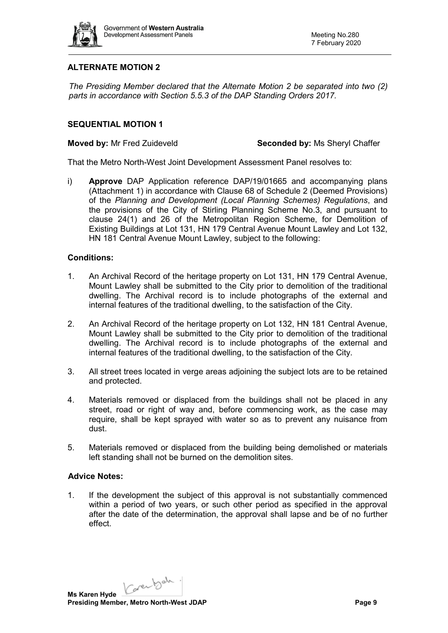

## **ALTERNATE MOTION 2**

*The Presiding Member declared that the Alternate Motion 2 be separated into two (2) parts in accordance with Section 5.5.3 of the DAP Standing Orders 2017.*

## **SEQUENTIAL MOTION 1**

**Moved by:** Mr Fred Zuideveld **Seconded by:** Ms Sheryl Chaffer

That the Metro North-West Joint Development Assessment Panel resolves to:

i) **Approve** DAP Application reference DAP/19/01665 and accompanying plans (Attachment 1) in accordance with Clause 68 of Schedule 2 (Deemed Provisions) of the *Planning and Development (Local Planning Schemes) Regulations*, and the provisions of the City of Stirling Planning Scheme No.3, and pursuant to clause 24(1) and 26 of the Metropolitan Region Scheme, for Demolition of Existing Buildings at Lot 131, HN 179 Central Avenue Mount Lawley and Lot 132, HN 181 Central Avenue Mount Lawley, subject to the following:

## **Conditions:**

- 1. An Archival Record of the heritage property on Lot 131, HN 179 Central Avenue, Mount Lawley shall be submitted to the City prior to demolition of the traditional dwelling. The Archival record is to include photographs of the external and internal features of the traditional dwelling, to the satisfaction of the City.
- 2. An Archival Record of the heritage property on Lot 132, HN 181 Central Avenue, Mount Lawley shall be submitted to the City prior to demolition of the traditional dwelling. The Archival record is to include photographs of the external and internal features of the traditional dwelling, to the satisfaction of the City.
- 3. All street trees located in verge areas adjoining the subject lots are to be retained and protected.
- 4. Materials removed or displaced from the buildings shall not be placed in any street, road or right of way and, before commencing work, as the case may require, shall be kept sprayed with water so as to prevent any nuisance from dust.
- 5. Materials removed or displaced from the building being demolished or materials left standing shall not be burned on the demolition sites.

## **Advice Notes:**

1. If the development the subject of this approval is not substantially commenced within a period of two years, or such other period as specified in the approval after the date of the determination, the approval shall lapse and be of no further effect.

Carentoda.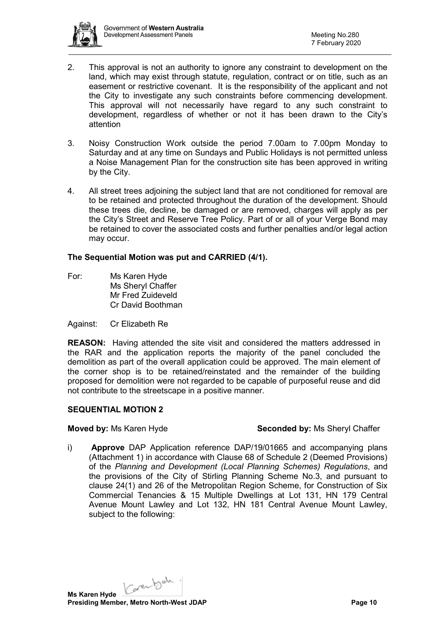

- 2. This approval is not an authority to ignore any constraint to development on the land, which may exist through statute, regulation, contract or on title, such as an easement or restrictive covenant. It is the responsibility of the applicant and not the City to investigate any such constraints before commencing development. This approval will not necessarily have regard to any such constraint to development, regardless of whether or not it has been drawn to the City's attention
- 3. Noisy Construction Work outside the period 7.00am to 7.00pm Monday to Saturday and at any time on Sundays and Public Holidays is not permitted unless a Noise Management Plan for the construction site has been approved in writing by the City.
- 4. All street trees adjoining the subject land that are not conditioned for removal are to be retained and protected throughout the duration of the development. Should these trees die, decline, be damaged or are removed, charges will apply as per the City's Street and Reserve Tree Policy. Part of or all of your Verge Bond may be retained to cover the associated costs and further penalties and/or legal action may occur.

## **The Sequential Motion was put and CARRIED (4/1).**

For: Ms Karen Hyde Ms Sheryl Chaffer Mr Fred Zuideveld Cr David Boothman

#### Against: Cr Elizabeth Re

**REASON:** Having attended the site visit and considered the matters addressed in the RAR and the application reports the majority of the panel concluded the demolition as part of the overall application could be approved. The main element of the corner shop is to be retained/reinstated and the remainder of the building proposed for demolition were not regarded to be capable of purposeful reuse and did not contribute to the streetscape in a positive manner.

#### **SEQUENTIAL MOTION 2**

#### **Moved by:** Ms Karen Hyde **Seconded by:** Ms Sheryl Chaffer

i) **Approve** DAP Application reference DAP/19/01665 and accompanying plans (Attachment 1) in accordance with Clause 68 of Schedule 2 (Deemed Provisions) of the *Planning and Development (Local Planning Schemes) Regulations*, and the provisions of the City of Stirling Planning Scheme No.3, and pursuant to clause 24(1) and 26 of the Metropolitan Region Scheme, for Construction of Six Commercial Tenancies & 15 Multiple Dwellings at Lot 131, HN 179 Central Avenue Mount Lawley and Lot 132, HN 181 Central Avenue Mount Lawley, subject to the following:

Carentach.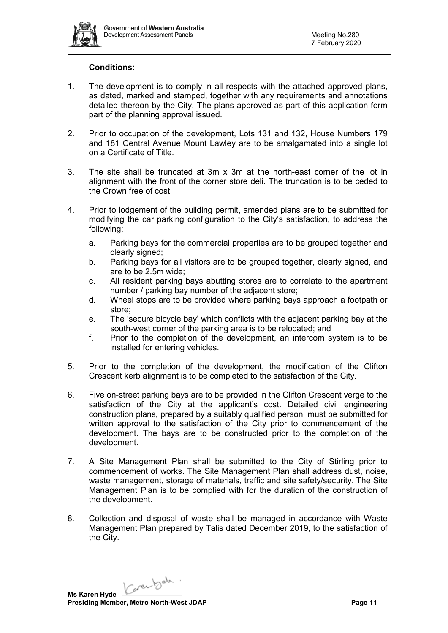

### **Conditions:**

- 1. The development is to comply in all respects with the attached approved plans, as dated, marked and stamped, together with any requirements and annotations detailed thereon by the City. The plans approved as part of this application form part of the planning approval issued.
- 2. Prior to occupation of the development, Lots 131 and 132, House Numbers 179 and 181 Central Avenue Mount Lawley are to be amalgamated into a single lot on a Certificate of Title.
- 3. The site shall be truncated at 3m x 3m at the north-east corner of the lot in alignment with the front of the corner store deli. The truncation is to be ceded to the Crown free of cost.
- 4. Prior to lodgement of the building permit, amended plans are to be submitted for modifying the car parking configuration to the City's satisfaction, to address the following:
	- a. Parking bays for the commercial properties are to be grouped together and clearly signed:
	- b. Parking bays for all visitors are to be grouped together, clearly signed, and are to be 2.5m wide;
	- c. All resident parking bays abutting stores are to correlate to the apartment number / parking bay number of the adjacent store;
	- d. Wheel stops are to be provided where parking bays approach a footpath or store;
	- e. The 'secure bicycle bay' which conflicts with the adjacent parking bay at the south-west corner of the parking area is to be relocated; and
	- f. Prior to the completion of the development, an intercom system is to be installed for entering vehicles.
- 5. Prior to the completion of the development, the modification of the Clifton Crescent kerb alignment is to be completed to the satisfaction of the City.
- 6. Five on-street parking bays are to be provided in the Clifton Crescent verge to the satisfaction of the City at the applicant's cost. Detailed civil engineering construction plans, prepared by a suitably qualified person, must be submitted for written approval to the satisfaction of the City prior to commencement of the development. The bays are to be constructed prior to the completion of the development.
- 7. A Site Management Plan shall be submitted to the City of Stirling prior to commencement of works. The Site Management Plan shall address dust, noise, waste management, storage of materials, traffic and site safety/security. The Site Management Plan is to be complied with for the duration of the construction of the development.
- 8. Collection and disposal of waste shall be managed in accordance with Waste Management Plan prepared by Talis dated December 2019, to the satisfaction of the City.

Karenbah. **Ms Karen Hyde**

**Presiding Member, Metro North-West JDAP Page 11 Page 11**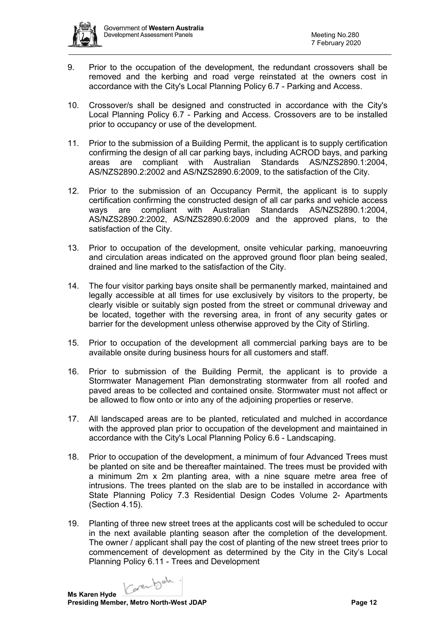

- 9. Prior to the occupation of the development, the redundant crossovers shall be removed and the kerbing and road verge reinstated at the owners cost in accordance with the City's Local Planning Policy 6.7 - Parking and Access.
- 10. Crossover/s shall be designed and constructed in accordance with the City's Local Planning Policy 6.7 - Parking and Access. Crossovers are to be installed prior to occupancy or use of the development.
- 11. Prior to the submission of a Building Permit, the applicant is to supply certification confirming the design of all car parking bays, including ACROD bays, and parking areas are compliant with Australian Standards AS/NZS2890.1:2004, AS/NZS2890.2:2002 and AS/NZS2890.6:2009, to the satisfaction of the City.
- 12. Prior to the submission of an Occupancy Permit, the applicant is to supply certification confirming the constructed design of all car parks and vehicle access ways are compliant with Australian Standards AS/NZS2890.1:2004, AS/NZS2890.2:2002, AS/NZS2890.6:2009 and the approved plans, to the satisfaction of the City.
- 13. Prior to occupation of the development, onsite vehicular parking, manoeuvring and circulation areas indicated on the approved ground floor plan being sealed, drained and line marked to the satisfaction of the City.
- 14. The four visitor parking bays onsite shall be permanently marked, maintained and legally accessible at all times for use exclusively by visitors to the property, be clearly visible or suitably sign posted from the street or communal driveway and be located, together with the reversing area, in front of any security gates or barrier for the development unless otherwise approved by the City of Stirling.
- 15. Prior to occupation of the development all commercial parking bays are to be available onsite during business hours for all customers and staff.
- 16. Prior to submission of the Building Permit, the applicant is to provide a Stormwater Management Plan demonstrating stormwater from all roofed and paved areas to be collected and contained onsite. Stormwater must not affect or be allowed to flow onto or into any of the adjoining properties or reserve.
- 17. All landscaped areas are to be planted, reticulated and mulched in accordance with the approved plan prior to occupation of the development and maintained in accordance with the City's Local Planning Policy 6.6 - Landscaping.
- 18. Prior to occupation of the development, a minimum of four Advanced Trees must be planted on site and be thereafter maintained. The trees must be provided with a minimum 2m x 2m planting area, with a nine square metre area free of intrusions. The trees planted on the slab are to be installed in accordance with State Planning Policy 7.3 Residential Design Codes Volume 2- Apartments (Section 4.15).
- 19. Planting of three new street trees at the applicants cost will be scheduled to occur in the next available planting season after the completion of the development. The owner / applicant shall pay the cost of planting of the new street trees prior to commencement of development as determined by the City in the City's Local Planning Policy 6.11 - Trees and Development

Carentoan.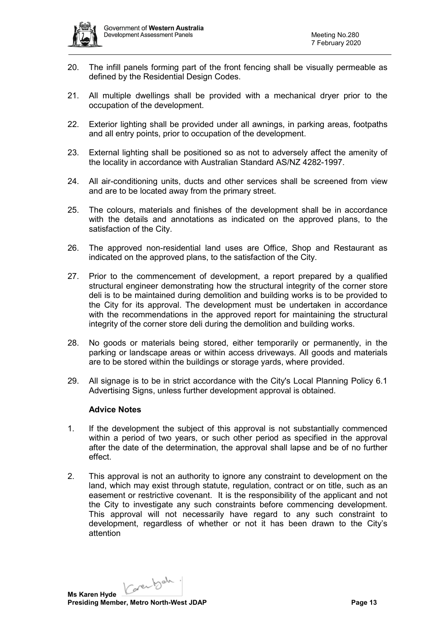

- 20. The infill panels forming part of the front fencing shall be visually permeable as defined by the Residential Design Codes.
- 21. All multiple dwellings shall be provided with a mechanical dryer prior to the occupation of the development.
- 22. Exterior lighting shall be provided under all awnings, in parking areas, footpaths and all entry points, prior to occupation of the development.
- 23. External lighting shall be positioned so as not to adversely affect the amenity of the locality in accordance with Australian Standard AS/NZ 4282-1997.
- 24. All air-conditioning units, ducts and other services shall be screened from view and are to be located away from the primary street.
- 25. The colours, materials and finishes of the development shall be in accordance with the details and annotations as indicated on the approved plans, to the satisfaction of the City.
- 26. The approved non-residential land uses are Office, Shop and Restaurant as indicated on the approved plans, to the satisfaction of the City.
- 27. Prior to the commencement of development, a report prepared by a qualified structural engineer demonstrating how the structural integrity of the corner store deli is to be maintained during demolition and building works is to be provided to the City for its approval. The development must be undertaken in accordance with the recommendations in the approved report for maintaining the structural integrity of the corner store deli during the demolition and building works.
- 28. No goods or materials being stored, either temporarily or permanently, in the parking or landscape areas or within access driveways. All goods and materials are to be stored within the buildings or storage yards, where provided.
- 29. All signage is to be in strict accordance with the City's Local Planning Policy 6.1 Advertising Signs, unless further development approval is obtained.

#### **Advice Notes**

- 1. If the development the subject of this approval is not substantially commenced within a period of two years, or such other period as specified in the approval after the date of the determination, the approval shall lapse and be of no further effect.
- 2. This approval is not an authority to ignore any constraint to development on the land, which may exist through statute, regulation, contract or on title, such as an easement or restrictive covenant. It is the responsibility of the applicant and not the City to investigate any such constraints before commencing development. This approval will not necessarily have regard to any such constraint to development, regardless of whether or not it has been drawn to the City's attention

Karenbah.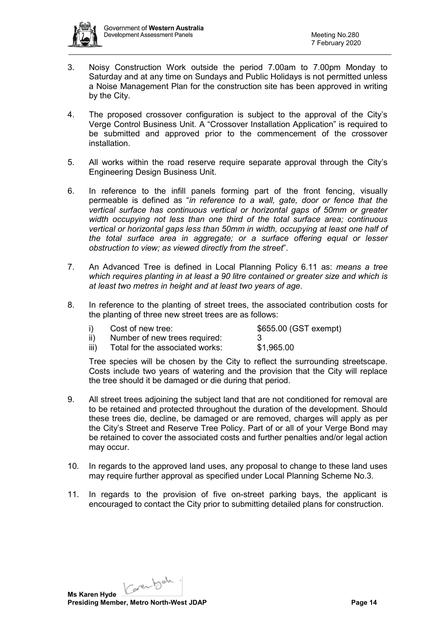

- 3. Noisy Construction Work outside the period 7.00am to 7.00pm Monday to Saturday and at any time on Sundays and Public Holidays is not permitted unless a Noise Management Plan for the construction site has been approved in writing by the City.
- 4. The proposed crossover configuration is subject to the approval of the City's Verge Control Business Unit. A "Crossover Installation Application" is required to be submitted and approved prior to the commencement of the crossover installation.
- 5. All works within the road reserve require separate approval through the City's Engineering Design Business Unit.
- 6. In reference to the infill panels forming part of the front fencing, visually permeable is defined as "*in reference to a wall, gate, door or fence that the vertical surface has continuous vertical or horizontal gaps of 50mm or greater width occupying not less than one third of the total surface area; continuous vertical or horizontal gaps less than 50mm in width, occupying at least one half of the total surface area in aggregate; or a surface offering equal or lesser obstruction to view; as viewed directly from the street*".
- 7. An Advanced Tree is defined in Local Planning Policy 6.11 as: *means a tree which requires planting in at least a 90 litre contained or greater size and which is at least two metres in height and at least two years of age*.
- 8. In reference to the planting of street trees, the associated contribution costs for the planting of three new street trees are as follows:

|      | Cost of new tree:               | \$655.00 (GST exempt) |
|------|---------------------------------|-----------------------|
|      | Number of new trees required:   |                       |
| iii) | Total for the associated works: | \$1,965.00            |

Tree species will be chosen by the City to reflect the surrounding streetscape. Costs include two years of watering and the provision that the City will replace the tree should it be damaged or die during that period.

- 9. All street trees adjoining the subject land that are not conditioned for removal are to be retained and protected throughout the duration of the development. Should these trees die, decline, be damaged or are removed, charges will apply as per the City's Street and Reserve Tree Policy. Part of or all of your Verge Bond may be retained to cover the associated costs and further penalties and/or legal action may occur.
- 10. In regards to the approved land uses, any proposal to change to these land uses may require further approval as specified under Local Planning Scheme No.3.
- 11. In regards to the provision of five on-street parking bays, the applicant is encouraged to contact the City prior to submitting detailed plans for construction.

Carentoda. **Ms Karen Hyde Presiding Member, Metro North-West JDAP Page 14 Page 14**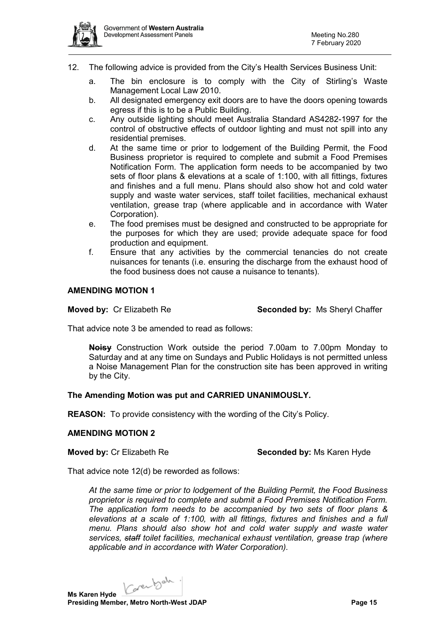- 12. The following advice is provided from the City's Health Services Business Unit:
	- a. The bin enclosure is to comply with the City of Stirling's Waste Management Local Law 2010.
	- b. All designated emergency exit doors are to have the doors opening towards egress if this is to be a Public Building.
	- c. Any outside lighting should meet Australia Standard AS4282-1997 for the control of obstructive effects of outdoor lighting and must not spill into any residential premises.
	- d. At the same time or prior to lodgement of the Building Permit, the Food Business proprietor is required to complete and submit a Food Premises Notification Form. The application form needs to be accompanied by two sets of floor plans & elevations at a scale of 1:100, with all fittings, fixtures and finishes and a full menu. Plans should also show hot and cold water supply and waste water services, staff toilet facilities, mechanical exhaust ventilation, grease trap (where applicable and in accordance with Water Corporation).
	- e. The food premises must be designed and constructed to be appropriate for the purposes for which they are used; provide adequate space for food production and equipment.
	- f. Ensure that any activities by the commercial tenancies do not create nuisances for tenants (i.e. ensuring the discharge from the exhaust hood of the food business does not cause a nuisance to tenants).

## **AMENDING MOTION 1**

**Moved by:** Cr Elizabeth Re **Seconded by:** Ms Sheryl Chaffer

That advice note 3 be amended to read as follows:

**Noisy** Construction Work outside the period 7.00am to 7.00pm Monday to Saturday and at any time on Sundays and Public Holidays is not permitted unless a Noise Management Plan for the construction site has been approved in writing by the City.

## **The Amending Motion was put and CARRIED UNANIMOUSLY.**

**REASON:** To provide consistency with the wording of the City's Policy.

#### **AMENDING MOTION 2**

**Moved by:** Cr Elizabeth Re **Seconded by:** Ms Karen Hyde

That advice note 12(d) be reworded as follows:

*At the same time or prior to lodgement of the Building Permit, the Food Business proprietor is required to complete and submit a Food Premises Notification Form. The application form needs to be accompanied by two sets of floor plans & elevations at a scale of 1:100, with all fittings, fixtures and finishes and a full menu. Plans should also show hot and cold water supply and waste water services, staff toilet facilities, mechanical exhaust ventilation, grease trap (where applicable and in accordance with Water Corporation).*

Karenbah.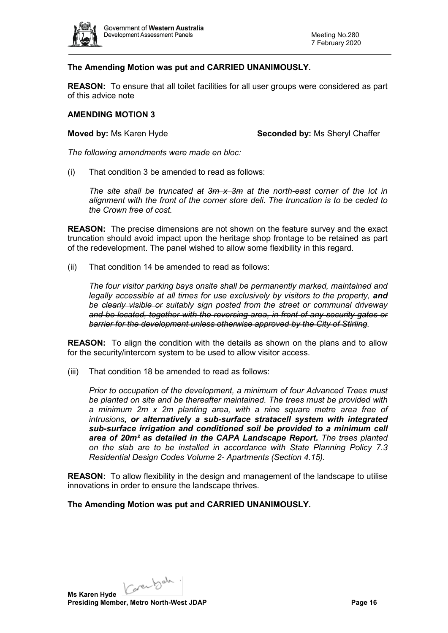

## **The Amending Motion was put and CARRIED UNANIMOUSLY.**

**REASON:** To ensure that all toilet facilities for all user groups were considered as part of this advice note

#### **AMENDING MOTION 3**

**Moved by:** Ms Karen Hyde **Seconded by:** Ms Sheryl Chaffer

*The following amendments were made en bloc:*

(i) That condition 3 be amended to read as follows:

*The site shall be truncated at 3m x 3m at the north-east corner of the lot in alignment with the front of the corner store deli. The truncation is to be ceded to the Crown free of cost.*

**REASON:** The precise dimensions are not shown on the feature survey and the exact truncation should avoid impact upon the heritage shop frontage to be retained as part of the redevelopment. The panel wished to allow some flexibility in this regard.

(ii) That condition 14 be amended to read as follows:

*The four visitor parking bays onsite shall be permanently marked, maintained and legally accessible at all times for use exclusively by visitors to the property, and be clearly visible or suitably sign posted from the street or communal driveway and be located, together with the reversing area, in front of any security gates or barrier for the development unless otherwise approved by the City of Stirling.*

**REASON:** To align the condition with the details as shown on the plans and to allow for the security/intercom system to be used to allow visitor access.

(iii) That condition 18 be amended to read as follows:

*Prior to occupation of the development, a minimum of four Advanced Trees must be planted on site and be thereafter maintained. The trees must be provided with a minimum 2m x 2m planting area, with a nine square metre area free of intrusions, or alternatively a sub-surface stratacell system with integrated sub-surface irrigation and conditioned soil be provided to a minimum cell area of 20m² as detailed in the CAPA Landscape Report. The trees planted on the slab are to be installed in accordance with State Planning Policy 7.3 Residential Design Codes Volume 2- Apartments (Section 4.15).* 

**REASON:** To allow flexibility in the design and management of the landscape to utilise innovations in order to ensure the landscape thrives.

**The Amending Motion was put and CARRIED UNANIMOUSLY.**

Karenbah. **Ms Karen Hyde Presiding Member, Metro North-West JDAP Page 16 Page 16**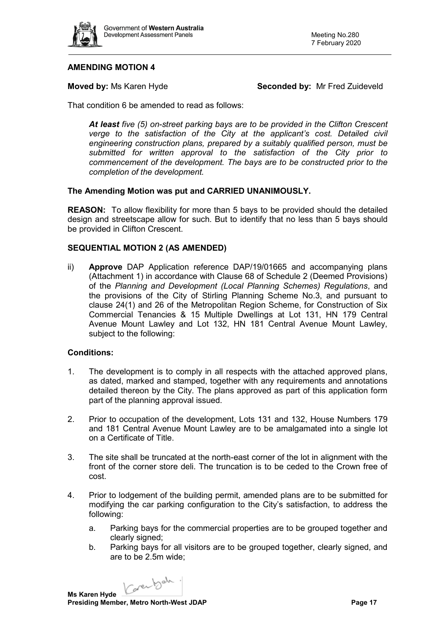

## **AMENDING MOTION 4**

**Moved by:** Ms Karen Hyde **Seconded by:** Mr Fred Zuideveld

That condition 6 be amended to read as follows:

*At least five (5) on-street parking bays are to be provided in the Clifton Crescent*  verge to the satisfaction of the City at the applicant's cost. Detailed civil *engineering construction plans, prepared by a suitably qualified person, must be submitted for written approval to the satisfaction of the City prior to commencement of the development. The bays are to be constructed prior to the completion of the development.*

## **The Amending Motion was put and CARRIED UNANIMOUSLY.**

**REASON:** To allow flexibility for more than 5 bays to be provided should the detailed design and streetscape allow for such. But to identify that no less than 5 bays should be provided in Clifton Crescent.

## **SEQUENTIAL MOTION 2 (AS AMENDED)**

ii) **Approve** DAP Application reference DAP/19/01665 and accompanying plans (Attachment 1) in accordance with Clause 68 of Schedule 2 (Deemed Provisions) of the *Planning and Development (Local Planning Schemes) Regulations*, and the provisions of the City of Stirling Planning Scheme No.3, and pursuant to clause 24(1) and 26 of the Metropolitan Region Scheme, for Construction of Six Commercial Tenancies & 15 Multiple Dwellings at Lot 131, HN 179 Central Avenue Mount Lawley and Lot 132, HN 181 Central Avenue Mount Lawley, subject to the following:

#### **Conditions:**

- 1. The development is to comply in all respects with the attached approved plans, as dated, marked and stamped, together with any requirements and annotations detailed thereon by the City. The plans approved as part of this application form part of the planning approval issued.
- 2. Prior to occupation of the development, Lots 131 and 132, House Numbers 179 and 181 Central Avenue Mount Lawley are to be amalgamated into a single lot on a Certificate of Title.
- 3. The site shall be truncated at the north-east corner of the lot in alignment with the front of the corner store deli. The truncation is to be ceded to the Crown free of cost.
- 4. Prior to lodgement of the building permit, amended plans are to be submitted for modifying the car parking configuration to the City's satisfaction, to address the following:
	- a. Parking bays for the commercial properties are to be grouped together and clearly signed;
	- b. Parking bays for all visitors are to be grouped together, clearly signed, and are to be 2.5m wide;

Carentach.

**Ms Karen Hyde Presiding Member, Metro North-West JDAP Page 17 Page 17**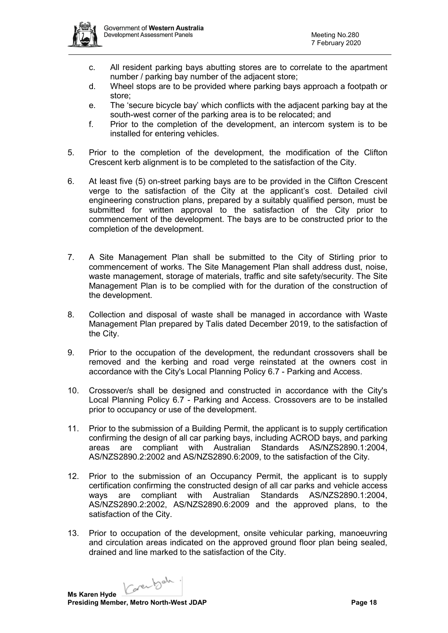

- c. All resident parking bays abutting stores are to correlate to the apartment number / parking bay number of the adjacent store;
- d. Wheel stops are to be provided where parking bays approach a footpath or store;
- e. The 'secure bicycle bay' which conflicts with the adjacent parking bay at the south-west corner of the parking area is to be relocated; and
- f. Prior to the completion of the development, an intercom system is to be installed for entering vehicles.
- 5. Prior to the completion of the development, the modification of the Clifton Crescent kerb alignment is to be completed to the satisfaction of the City.
- 6. At least five (5) on-street parking bays are to be provided in the Clifton Crescent verge to the satisfaction of the City at the applicant's cost. Detailed civil engineering construction plans, prepared by a suitably qualified person, must be submitted for written approval to the satisfaction of the City prior to commencement of the development. The bays are to be constructed prior to the completion of the development.
- 7. A Site Management Plan shall be submitted to the City of Stirling prior to commencement of works. The Site Management Plan shall address dust, noise, waste management, storage of materials, traffic and site safety/security. The Site Management Plan is to be complied with for the duration of the construction of the development.
- 8. Collection and disposal of waste shall be managed in accordance with Waste Management Plan prepared by Talis dated December 2019, to the satisfaction of the City.
- 9. Prior to the occupation of the development, the redundant crossovers shall be removed and the kerbing and road verge reinstated at the owners cost in accordance with the City's Local Planning Policy 6.7 - Parking and Access.
- 10. Crossover/s shall be designed and constructed in accordance with the City's Local Planning Policy 6.7 - Parking and Access. Crossovers are to be installed prior to occupancy or use of the development.
- 11. Prior to the submission of a Building Permit, the applicant is to supply certification confirming the design of all car parking bays, including ACROD bays, and parking areas are compliant with Australian Standards AS/NZS2890.1:2004, AS/NZS2890.2:2002 and AS/NZS2890.6:2009, to the satisfaction of the City.
- 12. Prior to the submission of an Occupancy Permit, the applicant is to supply certification confirming the constructed design of all car parks and vehicle access ways are compliant with Australian Standards AS/NZS2890.1:2004, AS/NZS2890.2:2002, AS/NZS2890.6:2009 and the approved plans, to the satisfaction of the City.
- 13. Prior to occupation of the development, onsite vehicular parking, manoeuvring and circulation areas indicated on the approved ground floor plan being sealed, drained and line marked to the satisfaction of the City.

Karenbah.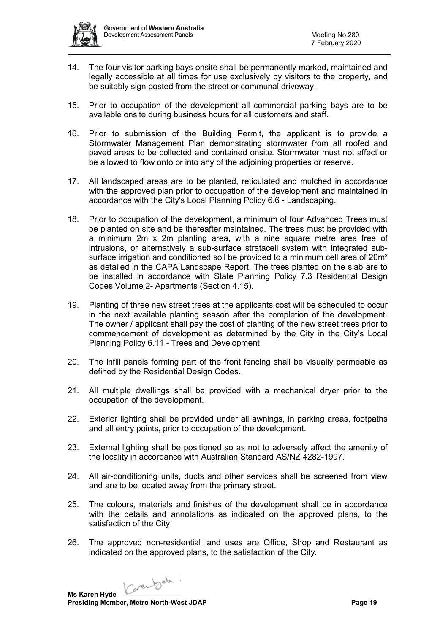

- 14. The four visitor parking bays onsite shall be permanently marked, maintained and legally accessible at all times for use exclusively by visitors to the property, and be suitably sign posted from the street or communal driveway.
- 15. Prior to occupation of the development all commercial parking bays are to be available onsite during business hours for all customers and staff.
- 16. Prior to submission of the Building Permit, the applicant is to provide a Stormwater Management Plan demonstrating stormwater from all roofed and paved areas to be collected and contained onsite. Stormwater must not affect or be allowed to flow onto or into any of the adjoining properties or reserve.
- 17. All landscaped areas are to be planted, reticulated and mulched in accordance with the approved plan prior to occupation of the development and maintained in accordance with the City's Local Planning Policy 6.6 - Landscaping.
- 18. Prior to occupation of the development, a minimum of four Advanced Trees must be planted on site and be thereafter maintained. The trees must be provided with a minimum 2m x 2m planting area, with a nine square metre area free of intrusions, or alternatively a sub-surface stratacell system with integrated subsurface irrigation and conditioned soil be provided to a minimum cell area of 20m<sup>2</sup> as detailed in the CAPA Landscape Report. The trees planted on the slab are to be installed in accordance with State Planning Policy 7.3 Residential Design Codes Volume 2- Apartments (Section 4.15).
- 19. Planting of three new street trees at the applicants cost will be scheduled to occur in the next available planting season after the completion of the development. The owner / applicant shall pay the cost of planting of the new street trees prior to commencement of development as determined by the City in the City's Local Planning Policy 6.11 - Trees and Development
- 20. The infill panels forming part of the front fencing shall be visually permeable as defined by the Residential Design Codes.
- 21. All multiple dwellings shall be provided with a mechanical dryer prior to the occupation of the development.
- 22. Exterior lighting shall be provided under all awnings, in parking areas, footpaths and all entry points, prior to occupation of the development.
- 23. External lighting shall be positioned so as not to adversely affect the amenity of the locality in accordance with Australian Standard AS/NZ 4282-1997.
- 24. All air-conditioning units, ducts and other services shall be screened from view and are to be located away from the primary street.
- 25. The colours, materials and finishes of the development shall be in accordance with the details and annotations as indicated on the approved plans, to the satisfaction of the City.
- 26. The approved non-residential land uses are Office, Shop and Restaurant as indicated on the approved plans, to the satisfaction of the City.

Karenbah.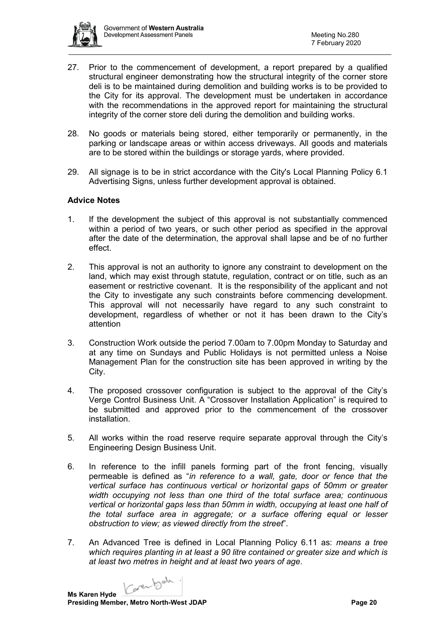

- 27. Prior to the commencement of development, a report prepared by a qualified structural engineer demonstrating how the structural integrity of the corner store deli is to be maintained during demolition and building works is to be provided to the City for its approval. The development must be undertaken in accordance with the recommendations in the approved report for maintaining the structural integrity of the corner store deli during the demolition and building works.
- 28. No goods or materials being stored, either temporarily or permanently, in the parking or landscape areas or within access driveways. All goods and materials are to be stored within the buildings or storage yards, where provided.
- 29. All signage is to be in strict accordance with the City's Local Planning Policy 6.1 Advertising Signs, unless further development approval is obtained.

## **Advice Notes**

- 1. If the development the subject of this approval is not substantially commenced within a period of two years, or such other period as specified in the approval after the date of the determination, the approval shall lapse and be of no further effect.
- 2. This approval is not an authority to ignore any constraint to development on the land, which may exist through statute, regulation, contract or on title, such as an easement or restrictive covenant. It is the responsibility of the applicant and not the City to investigate any such constraints before commencing development. This approval will not necessarily have regard to any such constraint to development, regardless of whether or not it has been drawn to the City's attention
- 3. Construction Work outside the period 7.00am to 7.00pm Monday to Saturday and at any time on Sundays and Public Holidays is not permitted unless a Noise Management Plan for the construction site has been approved in writing by the City.
- 4. The proposed crossover configuration is subject to the approval of the City's Verge Control Business Unit. A "Crossover Installation Application" is required to be submitted and approved prior to the commencement of the crossover installation.
- 5. All works within the road reserve require separate approval through the City's Engineering Design Business Unit.
- 6. In reference to the infill panels forming part of the front fencing, visually permeable is defined as "*in reference to a wall, gate, door or fence that the vertical surface has continuous vertical or horizontal gaps of 50mm or greater width occupying not less than one third of the total surface area; continuous vertical or horizontal gaps less than 50mm in width, occupying at least one half of the total surface area in aggregate; or a surface offering equal or lesser obstruction to view; as viewed directly from the street*".
- 7. An Advanced Tree is defined in Local Planning Policy 6.11 as: *means a tree which requires planting in at least a 90 litre contained or greater size and which is at least two metres in height and at least two years of age*.

Carentoda.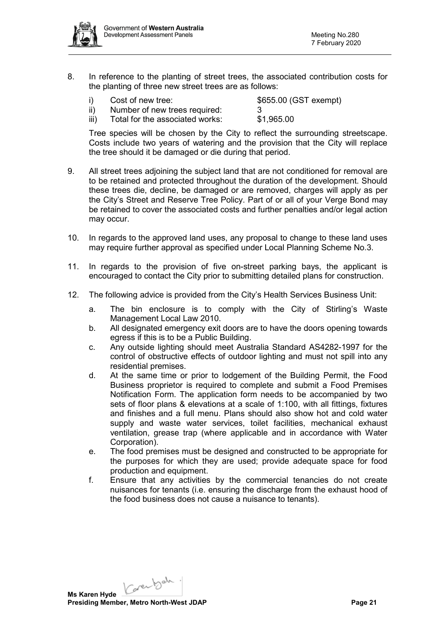

8. In reference to the planting of street trees, the associated contribution costs for the planting of three new street trees are as follows:

| i)   | Cost of new tree:               | \$655.00 (GST exempt) |
|------|---------------------------------|-----------------------|
| ii)  | Number of new trees required:   |                       |
| iii) | Total for the associated works: | \$1,965.00            |

Tree species will be chosen by the City to reflect the surrounding streetscape. Costs include two years of watering and the provision that the City will replace the tree should it be damaged or die during that period.

- 9. All street trees adjoining the subject land that are not conditioned for removal are to be retained and protected throughout the duration of the development. Should these trees die, decline, be damaged or are removed, charges will apply as per the City's Street and Reserve Tree Policy. Part of or all of your Verge Bond may be retained to cover the associated costs and further penalties and/or legal action may occur.
- 10. In regards to the approved land uses, any proposal to change to these land uses may require further approval as specified under Local Planning Scheme No.3.
- 11. In regards to the provision of five on-street parking bays, the applicant is encouraged to contact the City prior to submitting detailed plans for construction.
- 12. The following advice is provided from the City's Health Services Business Unit:
	- a. The bin enclosure is to comply with the City of Stirling's Waste Management Local Law 2010.
	- b. All designated emergency exit doors are to have the doors opening towards egress if this is to be a Public Building.
	- c. Any outside lighting should meet Australia Standard AS4282-1997 for the control of obstructive effects of outdoor lighting and must not spill into any residential premises.
	- d. At the same time or prior to lodgement of the Building Permit, the Food Business proprietor is required to complete and submit a Food Premises Notification Form. The application form needs to be accompanied by two sets of floor plans & elevations at a scale of 1:100, with all fittings, fixtures and finishes and a full menu. Plans should also show hot and cold water supply and waste water services, toilet facilities, mechanical exhaust ventilation, grease trap (where applicable and in accordance with Water Corporation).
	- e. The food premises must be designed and constructed to be appropriate for the purposes for which they are used; provide adequate space for food production and equipment.
	- f. Ensure that any activities by the commercial tenancies do not create nuisances for tenants (i.e. ensuring the discharge from the exhaust hood of the food business does not cause a nuisance to tenants).

Karenbah. **Ms Karen Hyde**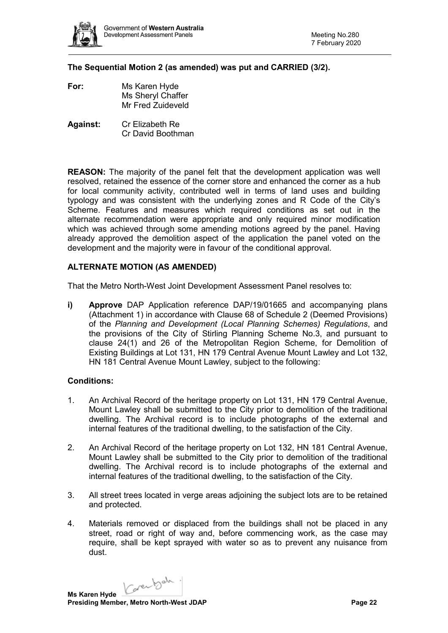

**The Sequential Motion 2 (as amended) was put and CARRIED (3/2).** 

- **For:** Ms Karen Hyde Ms Sheryl Chaffer Mr Fred Zuideveld
- **Against:** Cr Elizabeth Re Cr David Boothman

**REASON:** The majority of the panel felt that the development application was well resolved, retained the essence of the corner store and enhanced the corner as a hub for local community activity, contributed well in terms of land uses and building typology and was consistent with the underlying zones and R Code of the City's Scheme. Features and measures which required conditions as set out in the alternate recommendation were appropriate and only required minor modification which was achieved through some amending motions agreed by the panel. Having already approved the demolition aspect of the application the panel voted on the development and the majority were in favour of the conditional approval.

## **ALTERNATE MOTION (AS AMENDED)**

That the Metro North-West Joint Development Assessment Panel resolves to:

**i) Approve** DAP Application reference DAP/19/01665 and accompanying plans (Attachment 1) in accordance with Clause 68 of Schedule 2 (Deemed Provisions) of the *Planning and Development (Local Planning Schemes) Regulations*, and the provisions of the City of Stirling Planning Scheme No.3, and pursuant to clause 24(1) and 26 of the Metropolitan Region Scheme, for Demolition of Existing Buildings at Lot 131, HN 179 Central Avenue Mount Lawley and Lot 132, HN 181 Central Avenue Mount Lawley, subject to the following:

#### **Conditions:**

- 1. An Archival Record of the heritage property on Lot 131, HN 179 Central Avenue, Mount Lawley shall be submitted to the City prior to demolition of the traditional dwelling. The Archival record is to include photographs of the external and internal features of the traditional dwelling, to the satisfaction of the City.
- 2. An Archival Record of the heritage property on Lot 132, HN 181 Central Avenue, Mount Lawley shall be submitted to the City prior to demolition of the traditional dwelling. The Archival record is to include photographs of the external and internal features of the traditional dwelling, to the satisfaction of the City.
- 3. All street trees located in verge areas adjoining the subject lots are to be retained and protected.
- 4. Materials removed or displaced from the buildings shall not be placed in any street, road or right of way and, before commencing work, as the case may require, shall be kept sprayed with water so as to prevent any nuisance from dust.

Karenbah.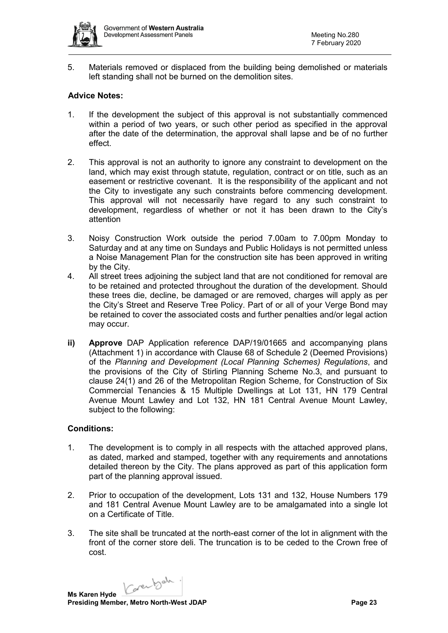

5. Materials removed or displaced from the building being demolished or materials left standing shall not be burned on the demolition sites.

## **Advice Notes:**

- 1. If the development the subject of this approval is not substantially commenced within a period of two years, or such other period as specified in the approval after the date of the determination, the approval shall lapse and be of no further effect.
- 2. This approval is not an authority to ignore any constraint to development on the land, which may exist through statute, regulation, contract or on title, such as an easement or restrictive covenant. It is the responsibility of the applicant and not the City to investigate any such constraints before commencing development. This approval will not necessarily have regard to any such constraint to development, regardless of whether or not it has been drawn to the City's attention
- 3. Noisy Construction Work outside the period 7.00am to 7.00pm Monday to Saturday and at any time on Sundays and Public Holidays is not permitted unless a Noise Management Plan for the construction site has been approved in writing by the City.
- 4. All street trees adjoining the subject land that are not conditioned for removal are to be retained and protected throughout the duration of the development. Should these trees die, decline, be damaged or are removed, charges will apply as per the City's Street and Reserve Tree Policy. Part of or all of your Verge Bond may be retained to cover the associated costs and further penalties and/or legal action may occur.
- **ii) Approve** DAP Application reference DAP/19/01665 and accompanying plans (Attachment 1) in accordance with Clause 68 of Schedule 2 (Deemed Provisions) of the *Planning and Development (Local Planning Schemes) Regulations*, and the provisions of the City of Stirling Planning Scheme No.3, and pursuant to clause 24(1) and 26 of the Metropolitan Region Scheme, for Construction of Six Commercial Tenancies & 15 Multiple Dwellings at Lot 131, HN 179 Central Avenue Mount Lawley and Lot 132, HN 181 Central Avenue Mount Lawley, subject to the following:

## **Conditions:**

- 1. The development is to comply in all respects with the attached approved plans, as dated, marked and stamped, together with any requirements and annotations detailed thereon by the City. The plans approved as part of this application form part of the planning approval issued.
- 2. Prior to occupation of the development, Lots 131 and 132, House Numbers 179 and 181 Central Avenue Mount Lawley are to be amalgamated into a single lot on a Certificate of Title.
- 3. The site shall be truncated at the north-east corner of the lot in alignment with the front of the corner store deli. The truncation is to be ceded to the Crown free of cost.

Karenbah.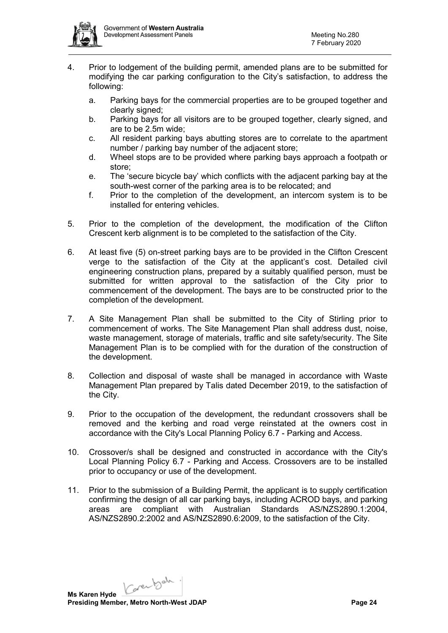

- 4. Prior to lodgement of the building permit, amended plans are to be submitted for modifying the car parking configuration to the City's satisfaction, to address the following:
	- a. Parking bays for the commercial properties are to be grouped together and clearly signed;
	- b. Parking bays for all visitors are to be grouped together, clearly signed, and are to be 2.5m wide;
	- c. All resident parking bays abutting stores are to correlate to the apartment number / parking bay number of the adjacent store;
	- d. Wheel stops are to be provided where parking bays approach a footpath or store;
	- e. The 'secure bicycle bay' which conflicts with the adjacent parking bay at the south-west corner of the parking area is to be relocated; and
	- f. Prior to the completion of the development, an intercom system is to be installed for entering vehicles.
- 5. Prior to the completion of the development, the modification of the Clifton Crescent kerb alignment is to be completed to the satisfaction of the City.
- 6. At least five (5) on-street parking bays are to be provided in the Clifton Crescent verge to the satisfaction of the City at the applicant's cost. Detailed civil engineering construction plans, prepared by a suitably qualified person, must be submitted for written approval to the satisfaction of the City prior to commencement of the development. The bays are to be constructed prior to the completion of the development.
- 7. A Site Management Plan shall be submitted to the City of Stirling prior to commencement of works. The Site Management Plan shall address dust, noise, waste management, storage of materials, traffic and site safety/security. The Site Management Plan is to be complied with for the duration of the construction of the development.
- 8. Collection and disposal of waste shall be managed in accordance with Waste Management Plan prepared by Talis dated December 2019, to the satisfaction of the City.
- 9. Prior to the occupation of the development, the redundant crossovers shall be removed and the kerbing and road verge reinstated at the owners cost in accordance with the City's Local Planning Policy 6.7 - Parking and Access.
- 10. Crossover/s shall be designed and constructed in accordance with the City's Local Planning Policy 6.7 - Parking and Access. Crossovers are to be installed prior to occupancy or use of the development.
- 11. Prior to the submission of a Building Permit, the applicant is to supply certification confirming the design of all car parking bays, including ACROD bays, and parking areas are compliant with Australian Standards AS/NZS2890.1:2004, AS/NZS2890.2:2002 and AS/NZS2890.6:2009, to the satisfaction of the City.

Carentoda. **Ms Karen Hyde**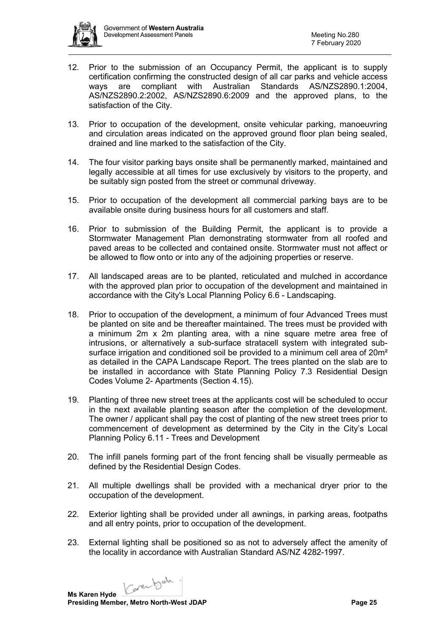

- 12. Prior to the submission of an Occupancy Permit, the applicant is to supply certification confirming the constructed design of all car parks and vehicle access ways are compliant with Australian Standards AS/NZS2890.1:2004, AS/NZS2890.2:2002, AS/NZS2890.6:2009 and the approved plans, to the satisfaction of the City.
- 13. Prior to occupation of the development, onsite vehicular parking, manoeuvring and circulation areas indicated on the approved ground floor plan being sealed, drained and line marked to the satisfaction of the City.
- 14. The four visitor parking bays onsite shall be permanently marked, maintained and legally accessible at all times for use exclusively by visitors to the property, and be suitably sign posted from the street or communal driveway.
- 15. Prior to occupation of the development all commercial parking bays are to be available onsite during business hours for all customers and staff.
- 16. Prior to submission of the Building Permit, the applicant is to provide a Stormwater Management Plan demonstrating stormwater from all roofed and paved areas to be collected and contained onsite. Stormwater must not affect or be allowed to flow onto or into any of the adjoining properties or reserve.
- 17. All landscaped areas are to be planted, reticulated and mulched in accordance with the approved plan prior to occupation of the development and maintained in accordance with the City's Local Planning Policy 6.6 - Landscaping.
- 18. Prior to occupation of the development, a minimum of four Advanced Trees must be planted on site and be thereafter maintained. The trees must be provided with a minimum 2m x 2m planting area, with a nine square metre area free of intrusions, or alternatively a sub-surface stratacell system with integrated subsurface irrigation and conditioned soil be provided to a minimum cell area of 20m<sup>2</sup> as detailed in the CAPA Landscape Report. The trees planted on the slab are to be installed in accordance with State Planning Policy 7.3 Residential Design Codes Volume 2- Apartments (Section 4.15).
- 19. Planting of three new street trees at the applicants cost will be scheduled to occur in the next available planting season after the completion of the development. The owner / applicant shall pay the cost of planting of the new street trees prior to commencement of development as determined by the City in the City's Local Planning Policy 6.11 - Trees and Development
- 20. The infill panels forming part of the front fencing shall be visually permeable as defined by the Residential Design Codes.
- 21. All multiple dwellings shall be provided with a mechanical dryer prior to the occupation of the development.
- 22. Exterior lighting shall be provided under all awnings, in parking areas, footpaths and all entry points, prior to occupation of the development.
- 23. External lighting shall be positioned so as not to adversely affect the amenity of the locality in accordance with Australian Standard AS/NZ 4282-1997.

Karenbah.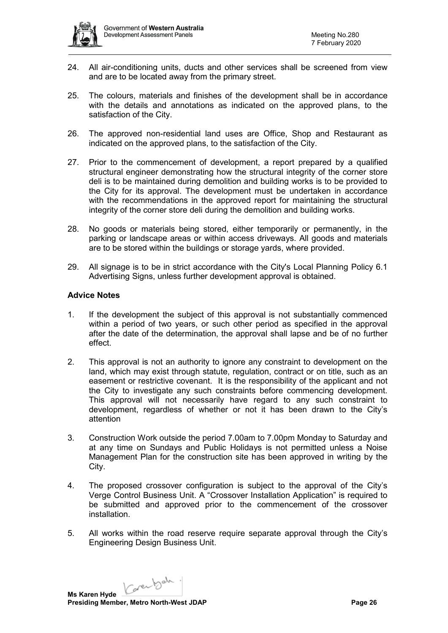

- 24. All air-conditioning units, ducts and other services shall be screened from view and are to be located away from the primary street.
- 25. The colours, materials and finishes of the development shall be in accordance with the details and annotations as indicated on the approved plans, to the satisfaction of the City.
- 26. The approved non-residential land uses are Office, Shop and Restaurant as indicated on the approved plans, to the satisfaction of the City.
- 27. Prior to the commencement of development, a report prepared by a qualified structural engineer demonstrating how the structural integrity of the corner store deli is to be maintained during demolition and building works is to be provided to the City for its approval. The development must be undertaken in accordance with the recommendations in the approved report for maintaining the structural integrity of the corner store deli during the demolition and building works.
- 28. No goods or materials being stored, either temporarily or permanently, in the parking or landscape areas or within access driveways. All goods and materials are to be stored within the buildings or storage yards, where provided.
- 29. All signage is to be in strict accordance with the City's Local Planning Policy 6.1 Advertising Signs, unless further development approval is obtained.

## **Advice Notes**

- 1. If the development the subject of this approval is not substantially commenced within a period of two years, or such other period as specified in the approval after the date of the determination, the approval shall lapse and be of no further effect.
- 2. This approval is not an authority to ignore any constraint to development on the land, which may exist through statute, regulation, contract or on title, such as an easement or restrictive covenant. It is the responsibility of the applicant and not the City to investigate any such constraints before commencing development. This approval will not necessarily have regard to any such constraint to development, regardless of whether or not it has been drawn to the City's attention
- 3. Construction Work outside the period 7.00am to 7.00pm Monday to Saturday and at any time on Sundays and Public Holidays is not permitted unless a Noise Management Plan for the construction site has been approved in writing by the City.
- 4. The proposed crossover configuration is subject to the approval of the City's Verge Control Business Unit. A "Crossover Installation Application" is required to be submitted and approved prior to the commencement of the crossover installation.
- 5. All works within the road reserve require separate approval through the City's Engineering Design Business Unit.

Karenbah.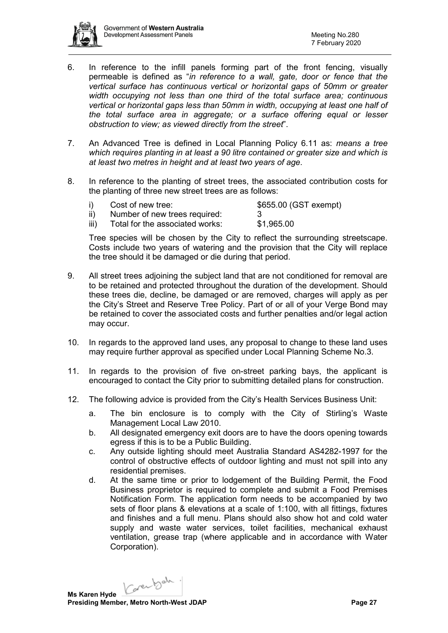

- 6. In reference to the infill panels forming part of the front fencing, visually permeable is defined as "*in reference to a wall, gate, door or fence that the vertical surface has continuous vertical or horizontal gaps of 50mm or greater width occupying not less than one third of the total surface area; continuous vertical or horizontal gaps less than 50mm in width, occupying at least one half of the total surface area in aggregate; or a surface offering equal or lesser obstruction to view; as viewed directly from the street*".
- 7. An Advanced Tree is defined in Local Planning Policy 6.11 as: *means a tree which requires planting in at least a 90 litre contained or greater size and which is at least two metres in height and at least two years of age*.
- 8. In reference to the planting of street trees, the associated contribution costs for the planting of three new street trees are as follows:

|      | Cost of new tree:               | \$655.00 (GST exempt) |
|------|---------------------------------|-----------------------|
|      | Number of new trees required:   |                       |
| iii) | Total for the associated works: | \$1,965.00            |

Tree species will be chosen by the City to reflect the surrounding streetscape. Costs include two years of watering and the provision that the City will replace the tree should it be damaged or die during that period.

- 9. All street trees adjoining the subject land that are not conditioned for removal are to be retained and protected throughout the duration of the development. Should these trees die, decline, be damaged or are removed, charges will apply as per the City's Street and Reserve Tree Policy. Part of or all of your Verge Bond may be retained to cover the associated costs and further penalties and/or legal action may occur.
- 10. In regards to the approved land uses, any proposal to change to these land uses may require further approval as specified under Local Planning Scheme No.3.
- 11. In regards to the provision of five on-street parking bays, the applicant is encouraged to contact the City prior to submitting detailed plans for construction.
- 12. The following advice is provided from the City's Health Services Business Unit:
	- a. The bin enclosure is to comply with the City of Stirling's Waste Management Local Law 2010.
	- b. All designated emergency exit doors are to have the doors opening towards egress if this is to be a Public Building.
	- c. Any outside lighting should meet Australia Standard AS4282-1997 for the control of obstructive effects of outdoor lighting and must not spill into any residential premises.
	- d. At the same time or prior to lodgement of the Building Permit, the Food Business proprietor is required to complete and submit a Food Premises Notification Form. The application form needs to be accompanied by two sets of floor plans & elevations at a scale of 1:100, with all fittings, fixtures and finishes and a full menu. Plans should also show hot and cold water supply and waste water services, toilet facilities, mechanical exhaust ventilation, grease trap (where applicable and in accordance with Water Corporation).

Karenbah.